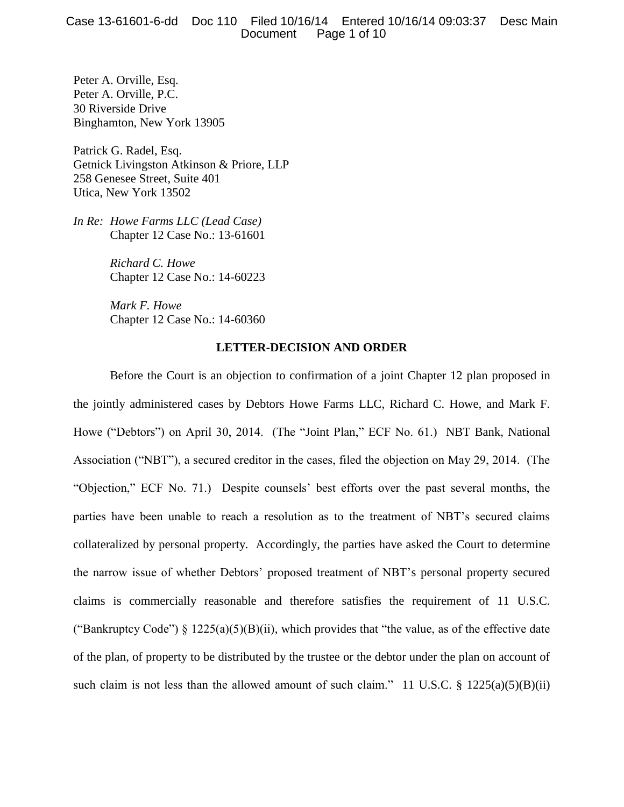Peter A. Orville, Esq. Peter A. Orville, P.C. 30 Riverside Drive Binghamton, New York 13905

Patrick G. Radel, Esq. Getnick Livingston Atkinson & Priore, LLP 258 Genesee Street, Suite 401 Utica, New York 13502

*In Re: Howe Farms LLC (Lead Case)* Chapter 12 Case No.: 13-61601

> *Richard C. Howe* Chapter 12 Case No.: 14-60223

> *Mark F. Howe* Chapter 12 Case No.: 14-60360

# **LETTER-DECISION AND ORDER**

Before the Court is an objection to confirmation of a joint Chapter 12 plan proposed in the jointly administered cases by Debtors Howe Farms LLC, Richard C. Howe, and Mark F. Howe ("Debtors") on April 30, 2014. (The "Joint Plan," ECF No. 61.) NBT Bank, National Association ("NBT"), a secured creditor in the cases, filed the objection on May 29, 2014. (The "Objection," ECF No. 71.) Despite counsels' best efforts over the past several months, the parties have been unable to reach a resolution as to the treatment of NBT's secured claims collateralized by personal property. Accordingly, the parties have asked the Court to determine the narrow issue of whether Debtors' proposed treatment of NBT's personal property secured claims is commercially reasonable and therefore satisfies the requirement of 11 U.S.C. ("Bankruptcy Code") § 1225(a)(5)(B)(ii), which provides that "the value, as of the effective date of the plan, of property to be distributed by the trustee or the debtor under the plan on account of such claim is not less than the allowed amount of such claim." 11 U.S.C.  $\S$  1225(a)(5)(B)(ii)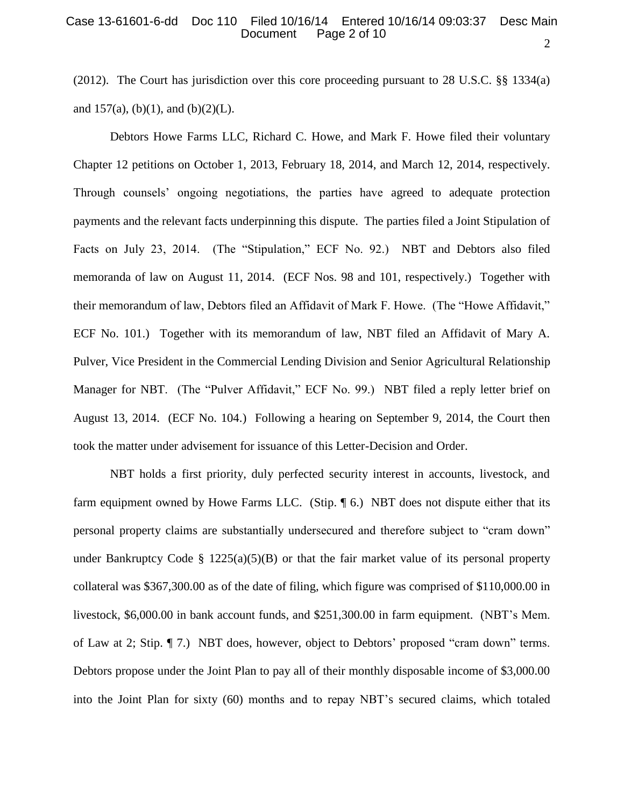## 2 Case 13-61601-6-dd Doc 110 Filed 10/16/14 Entered 10/16/14 09:03:37 Desc Main Page 2 of 10

(2012). The Court has jurisdiction over this core proceeding pursuant to 28 U.S.C. §§ 1334(a) and  $157(a)$ , (b)(1), and (b)(2)(L).

Debtors Howe Farms LLC, Richard C. Howe, and Mark F. Howe filed their voluntary Chapter 12 petitions on October 1, 2013, February 18, 2014, and March 12, 2014, respectively. Through counsels' ongoing negotiations, the parties have agreed to adequate protection payments and the relevant facts underpinning this dispute. The parties filed a Joint Stipulation of Facts on July 23, 2014. (The "Stipulation," ECF No. 92.) NBT and Debtors also filed memoranda of law on August 11, 2014. (ECF Nos. 98 and 101, respectively.) Together with their memorandum of law, Debtors filed an Affidavit of Mark F. Howe. (The "Howe Affidavit," ECF No. 101.) Together with its memorandum of law, NBT filed an Affidavit of Mary A. Pulver, Vice President in the Commercial Lending Division and Senior Agricultural Relationship Manager for NBT. (The "Pulver Affidavit," ECF No. 99.) NBT filed a reply letter brief on August 13, 2014. (ECF No. 104.) Following a hearing on September 9, 2014, the Court then took the matter under advisement for issuance of this Letter-Decision and Order.

NBT holds a first priority, duly perfected security interest in accounts, livestock, and farm equipment owned by Howe Farms LLC. (Stip. 16.) NBT does not dispute either that its personal property claims are substantially undersecured and therefore subject to "cram down" under Bankruptcy Code §  $1225(a)(5)(B)$  or that the fair market value of its personal property collateral was \$367,300.00 as of the date of filing, which figure was comprised of \$110,000.00 in livestock, \$6,000.00 in bank account funds, and \$251,300.00 in farm equipment. (NBT's Mem. of Law at 2; Stip. ¶ 7.) NBT does, however, object to Debtors' proposed "cram down" terms. Debtors propose under the Joint Plan to pay all of their monthly disposable income of \$3,000.00 into the Joint Plan for sixty (60) months and to repay NBT's secured claims, which totaled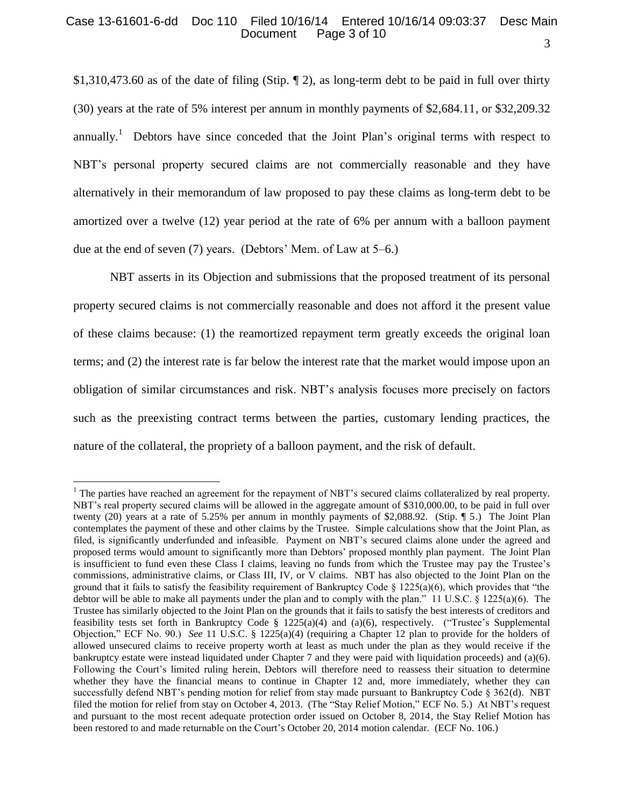## 3 Case 13-61601-6-dd Doc 110 Filed 10/16/14 Entered 10/16/14 09:03:37 Desc Main Page 3 of 10

\$1,310,473.60 as of the date of filing (Stip. ¶ 2), as long-term debt to be paid in full over thirty (30) years at the rate of 5% interest per annum in monthly payments of \$2,684.11, or \$32,209.32 annually.<sup>1</sup> Debtors have since conceded that the Joint Plan's original terms with respect to NBT's personal property secured claims are not commercially reasonable and they have alternatively in their memorandum of law proposed to pay these claims as long-term debt to be amortized over a twelve (12) year period at the rate of 6% per annum with a balloon payment due at the end of seven (7) years. (Debtors' Mem. of Law at 5–6.)

NBT asserts in its Objection and submissions that the proposed treatment of its personal property secured claims is not commercially reasonable and does not afford it the present value of these claims because: (1) the reamortized repayment term greatly exceeds the original loan terms; and (2) the interest rate is far below the interest rate that the market would impose upon an obligation of similar circumstances and risk. NBT's analysis focuses more precisely on factors such as the preexisting contract terms between the parties, customary lending practices, the nature of the collateral, the propriety of a balloon payment, and the risk of default.

 $\overline{a}$ 

 $<sup>1</sup>$  The parties have reached an agreement for the repayment of NBT's secured claims collateralized by real property.</sup> NBT's real property secured claims will be allowed in the aggregate amount of \$310,000.00, to be paid in full over twenty (20) years at a rate of 5.25% per annum in monthly payments of \$2,088.92. (Stip. ¶ 5.) The Joint Plan contemplates the payment of these and other claims by the Trustee. Simple calculations show that the Joint Plan, as filed, is significantly underfunded and infeasible. Payment on NBT's secured claims alone under the agreed and proposed terms would amount to significantly more than Debtors' proposed monthly plan payment. The Joint Plan is insufficient to fund even these Class I claims, leaving no funds from which the Trustee may pay the Trustee's commissions, administrative claims, or Class III, IV, or V claims. NBT has also objected to the Joint Plan on the ground that it fails to satisfy the feasibility requirement of Bankruptcy Code  $\S$  1225(a)(6), which provides that "the debtor will be able to make all payments under the plan and to comply with the plan." 11 U.S.C. § 1225(a)(6). The Trustee has similarly objected to the Joint Plan on the grounds that it fails to satisfy the best interests of creditors and feasibility tests set forth in Bankruptcy Code § 1225(a)(4) and (a)(6), respectively. ("Trustee's Supplemental Objection," ECF No. 90.) *See* 11 U.S.C. § 1225(a)(4) (requiring a Chapter 12 plan to provide for the holders of allowed unsecured claims to receive property worth at least as much under the plan as they would receive if the bankruptcy estate were instead liquidated under Chapter 7 and they were paid with liquidation proceeds) and (a)(6). Following the Court's limited ruling herein, Debtors will therefore need to reassess their situation to determine whether they have the financial means to continue in Chapter 12 and, more immediately, whether they can successfully defend NBT's pending motion for relief from stay made pursuant to Bankruptcy Code § 362(d). NBT filed the motion for relief from stay on October 4, 2013. (The "Stay Relief Motion," ECF No. 5.) At NBT's request and pursuant to the most recent adequate protection order issued on October 8, 2014, the Stay Relief Motion has been restored to and made returnable on the Court's October 20, 2014 motion calendar. (ECF No. 106.)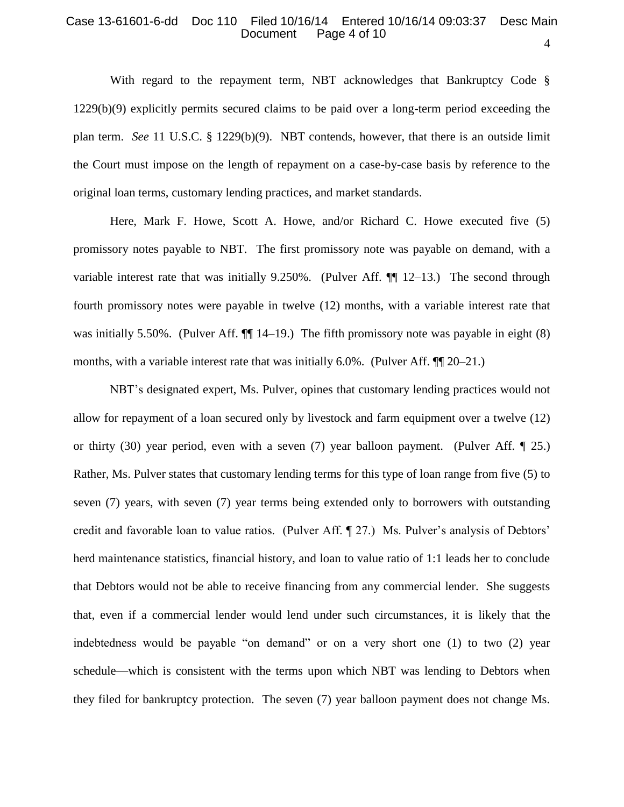#### 4 Case 13-61601-6-dd Doc 110 Filed 10/16/14 Entered 10/16/14 09:03:37 Desc Main Page 4 of 10

With regard to the repayment term, NBT acknowledges that Bankruptcy Code § 1229(b)(9) explicitly permits secured claims to be paid over a long-term period exceeding the plan term. *See* 11 U.S.C. § 1229(b)(9). NBT contends, however, that there is an outside limit the Court must impose on the length of repayment on a case-by-case basis by reference to the original loan terms, customary lending practices, and market standards.

Here, Mark F. Howe, Scott A. Howe, and/or Richard C. Howe executed five (5) promissory notes payable to NBT. The first promissory note was payable on demand, with a variable interest rate that was initially  $9.250\%$ . (Pulver Aff.  $\P\P$  12–13.) The second through fourth promissory notes were payable in twelve (12) months, with a variable interest rate that was initially 5.50%. (Pulver Aff.  $\P$  14–19.) The fifth promissory note was payable in eight (8) months, with a variable interest rate that was initially 6.0%. (Pulver Aff. ¶¶ 20–21.)

NBT's designated expert, Ms. Pulver, opines that customary lending practices would not allow for repayment of a loan secured only by livestock and farm equipment over a twelve (12) or thirty (30) year period, even with a seven (7) year balloon payment. (Pulver Aff. ¶ 25.) Rather, Ms. Pulver states that customary lending terms for this type of loan range from five (5) to seven (7) years, with seven (7) year terms being extended only to borrowers with outstanding credit and favorable loan to value ratios. (Pulver Aff. ¶ 27.) Ms. Pulver's analysis of Debtors' herd maintenance statistics, financial history, and loan to value ratio of 1:1 leads her to conclude that Debtors would not be able to receive financing from any commercial lender. She suggests that, even if a commercial lender would lend under such circumstances, it is likely that the indebtedness would be payable "on demand" or on a very short one (1) to two (2) year schedule—which is consistent with the terms upon which NBT was lending to Debtors when they filed for bankruptcy protection. The seven (7) year balloon payment does not change Ms.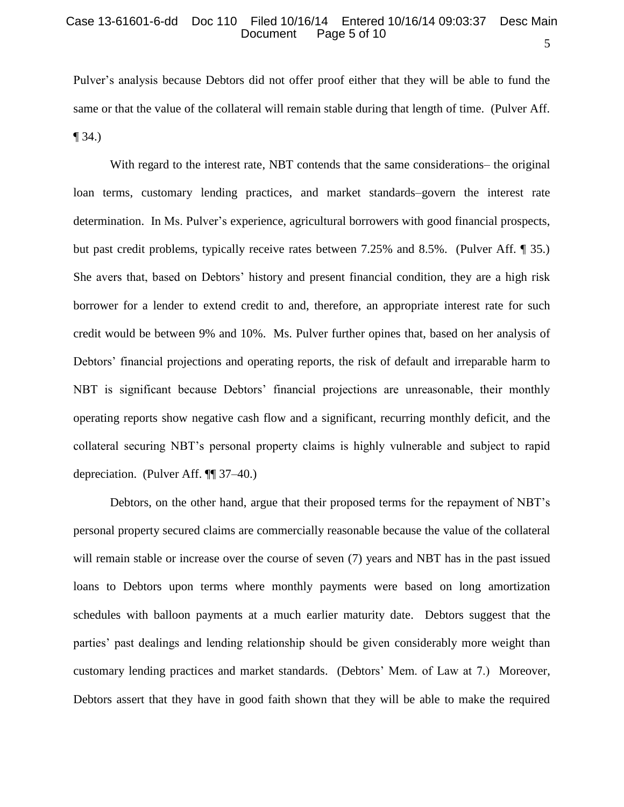## 5 Case 13-61601-6-dd Doc 110 Filed 10/16/14 Entered 10/16/14 09:03:37 Desc Main Page 5 of 10

Pulver's analysis because Debtors did not offer proof either that they will be able to fund the same or that the value of the collateral will remain stable during that length of time. (Pulver Aff.  $\P$  34.)

With regard to the interest rate, NBT contends that the same considerations– the original loan terms, customary lending practices, and market standards–govern the interest rate determination. In Ms. Pulver's experience, agricultural borrowers with good financial prospects, but past credit problems, typically receive rates between 7.25% and 8.5%. (Pulver Aff. ¶ 35.) She avers that, based on Debtors' history and present financial condition, they are a high risk borrower for a lender to extend credit to and, therefore, an appropriate interest rate for such credit would be between 9% and 10%. Ms. Pulver further opines that, based on her analysis of Debtors' financial projections and operating reports, the risk of default and irreparable harm to NBT is significant because Debtors' financial projections are unreasonable, their monthly operating reports show negative cash flow and a significant, recurring monthly deficit, and the collateral securing NBT's personal property claims is highly vulnerable and subject to rapid depreciation. (Pulver Aff. ¶¶ 37–40.)

Debtors, on the other hand, argue that their proposed terms for the repayment of NBT's personal property secured claims are commercially reasonable because the value of the collateral will remain stable or increase over the course of seven (7) years and NBT has in the past issued loans to Debtors upon terms where monthly payments were based on long amortization schedules with balloon payments at a much earlier maturity date. Debtors suggest that the parties' past dealings and lending relationship should be given considerably more weight than customary lending practices and market standards. (Debtors' Mem. of Law at 7.) Moreover, Debtors assert that they have in good faith shown that they will be able to make the required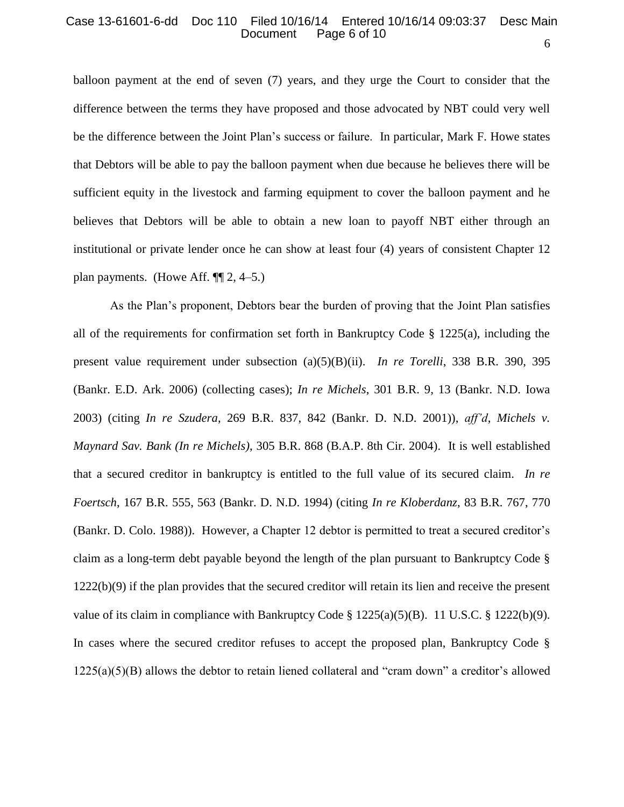#### 6 Case 13-61601-6-dd Doc 110 Filed 10/16/14 Entered 10/16/14 09:03:37 Desc Main Page 6 of 10

balloon payment at the end of seven (7) years, and they urge the Court to consider that the difference between the terms they have proposed and those advocated by NBT could very well be the difference between the Joint Plan's success or failure. In particular, Mark F. Howe states that Debtors will be able to pay the balloon payment when due because he believes there will be sufficient equity in the livestock and farming equipment to cover the balloon payment and he believes that Debtors will be able to obtain a new loan to payoff NBT either through an institutional or private lender once he can show at least four (4) years of consistent Chapter 12 plan payments. (Howe Aff.  $\P$ [2, 4–5.)

As the Plan's proponent, Debtors bear the burden of proving that the Joint Plan satisfies all of the requirements for confirmation set forth in Bankruptcy Code  $\S$  1225(a), including the present value requirement under subsection (a)(5)(B)(ii). *In re Torelli*, 338 B.R. 390, 395 (Bankr. E.D. Ark. 2006) (collecting cases); *In re Michels*, 301 B.R. 9, 13 (Bankr. N.D. Iowa 2003) (citing *In re Szudera*, 269 B.R. 837, 842 (Bankr. D. N.D. 2001)), *aff'd*, *Michels v. Maynard Sav. Bank (In re Michels)*, 305 B.R. 868 (B.A.P. 8th Cir. 2004). It is well established that a secured creditor in bankruptcy is entitled to the full value of its secured claim. *In re Foertsch*, 167 B.R. 555, 563 (Bankr. D. N.D. 1994) (citing *In re Kloberdanz*, 83 B.R. 767, 770 (Bankr. D. Colo. 1988)). However, a Chapter 12 debtor is permitted to treat a secured creditor's claim as a long-term debt payable beyond the length of the plan pursuant to Bankruptcy Code § 1222(b)(9) if the plan provides that the secured creditor will retain its lien and receive the present value of its claim in compliance with Bankruptcy Code  $\S$  1225(a)(5)(B). 11 U.S.C.  $\S$  1222(b)(9). In cases where the secured creditor refuses to accept the proposed plan, Bankruptcy Code § 1225(a)(5)(B) allows the debtor to retain liened collateral and "cram down" a creditor's allowed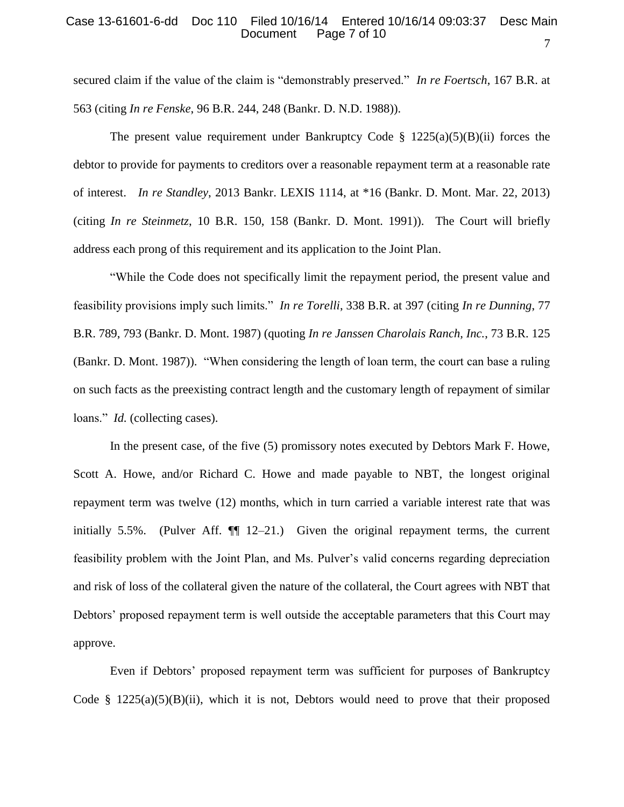#### 7 Case 13-61601-6-dd Doc 110 Filed 10/16/14 Entered 10/16/14 09:03:37 Desc Main Page 7 of 10

secured claim if the value of the claim is "demonstrably preserved." *In re Foertsch*, 167 B.R. at 563 (citing *In re Fenske*, 96 B.R. 244, 248 (Bankr. D. N.D. 1988)).

The present value requirement under Bankruptcy Code §  $1225(a)(5)(B)(ii)$  forces the debtor to provide for payments to creditors over a reasonable repayment term at a reasonable rate of interest. *In re Standley*, 2013 Bankr. LEXIS 1114, at \*16 (Bankr. D. Mont. Mar. 22, 2013) (citing *In re Steinmetz*, 10 B.R. 150, 158 (Bankr. D. Mont. 1991)). The Court will briefly address each prong of this requirement and its application to the Joint Plan.

"While the Code does not specifically limit the repayment period, the present value and feasibility provisions imply such limits." *In re Torelli*, 338 B.R. at 397 (citing *In re Dunning*, 77 B.R. 789, 793 (Bankr. D. Mont. 1987) (quoting *In re Janssen Charolais Ranch, Inc.*, 73 B.R. 125 (Bankr. D. Mont. 1987)). "When considering the length of loan term, the court can base a ruling on such facts as the preexisting contract length and the customary length of repayment of similar loans." *Id.* (collecting cases).

In the present case, of the five (5) promissory notes executed by Debtors Mark F. Howe, Scott A. Howe, and/or Richard C. Howe and made payable to NBT, the longest original repayment term was twelve (12) months, which in turn carried a variable interest rate that was initially 5.5%. (Pulver Aff.  $\P$  12–21.) Given the original repayment terms, the current feasibility problem with the Joint Plan, and Ms. Pulver's valid concerns regarding depreciation and risk of loss of the collateral given the nature of the collateral, the Court agrees with NBT that Debtors' proposed repayment term is well outside the acceptable parameters that this Court may approve.

Even if Debtors' proposed repayment term was sufficient for purposes of Bankruptcy Code §  $1225(a)(5)(B)(ii)$ , which it is not, Debtors would need to prove that their proposed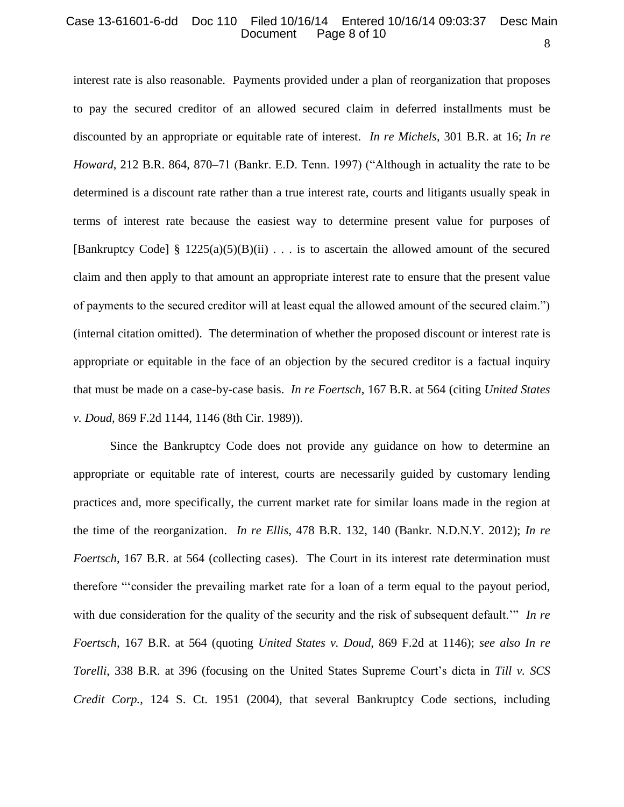#### 8 Case 13-61601-6-dd Doc 110 Filed 10/16/14 Entered 10/16/14 09:03:37 Desc Main Page 8 of 10

interest rate is also reasonable. Payments provided under a plan of reorganization that proposes to pay the secured creditor of an allowed secured claim in deferred installments must be discounted by an appropriate or equitable rate of interest. *In re Michels*, 301 B.R. at 16; *In re Howard*, 212 B.R. 864, 870–71 (Bankr. E.D. Tenn. 1997) ("Although in actuality the rate to be determined is a discount rate rather than a true interest rate, courts and litigants usually speak in terms of interest rate because the easiest way to determine present value for purposes of [Bankruptcy Code] §  $1225(a)(5)(B)(ii)$ ... is to ascertain the allowed amount of the secured claim and then apply to that amount an appropriate interest rate to ensure that the present value of payments to the secured creditor will at least equal the allowed amount of the secured claim.") (internal citation omitted). The determination of whether the proposed discount or interest rate is appropriate or equitable in the face of an objection by the secured creditor is a factual inquiry that must be made on a case-by-case basis. *In re Foertsch*, 167 B.R. at 564 (citing *United States v. Doud*, 869 F.2d 1144, 1146 (8th Cir. 1989)).

Since the Bankruptcy Code does not provide any guidance on how to determine an appropriate or equitable rate of interest, courts are necessarily guided by customary lending practices and, more specifically, the current market rate for similar loans made in the region at the time of the reorganization. *In re Ellis*, 478 B.R. 132, 140 (Bankr. N.D.N.Y. 2012); *In re Foertsch*, 167 B.R. at 564 (collecting cases). The Court in its interest rate determination must therefore "'consider the prevailing market rate for a loan of a term equal to the payout period, with due consideration for the quality of the security and the risk of subsequent default.<sup>"</sup> In re *Foertsch*, 167 B.R. at 564 (quoting *United States v. Doud*, 869 F.2d at 1146); *see also In re Torelli*, 338 B.R. at 396 (focusing on the United States Supreme Court's dicta in *Till v. SCS Credit Corp.*, 124 S. Ct. 1951 (2004), that several Bankruptcy Code sections, including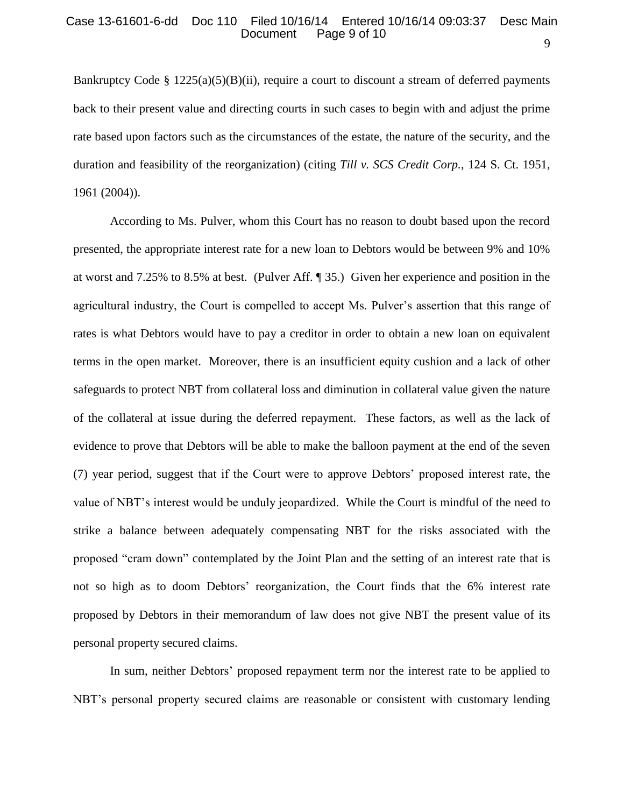## Case 13-61601-6-dd Doc 110 Filed 10/16/14 Entered 10/16/14 09:03:37 Desc Main Page 9 of 10

Bankruptcy Code §  $1225(a)(5)(B)(ii)$ , require a court to discount a stream of deferred payments back to their present value and directing courts in such cases to begin with and adjust the prime rate based upon factors such as the circumstances of the estate, the nature of the security, and the duration and feasibility of the reorganization) (citing *Till v. SCS Credit Corp.*, 124 S. Ct. 1951, 1961 (2004)).

According to Ms. Pulver, whom this Court has no reason to doubt based upon the record presented, the appropriate interest rate for a new loan to Debtors would be between 9% and 10% at worst and 7.25% to 8.5% at best. (Pulver Aff. ¶ 35.) Given her experience and position in the agricultural industry, the Court is compelled to accept Ms. Pulver's assertion that this range of rates is what Debtors would have to pay a creditor in order to obtain a new loan on equivalent terms in the open market. Moreover, there is an insufficient equity cushion and a lack of other safeguards to protect NBT from collateral loss and diminution in collateral value given the nature of the collateral at issue during the deferred repayment. These factors, as well as the lack of evidence to prove that Debtors will be able to make the balloon payment at the end of the seven (7) year period, suggest that if the Court were to approve Debtors' proposed interest rate, the value of NBT's interest would be unduly jeopardized. While the Court is mindful of the need to strike a balance between adequately compensating NBT for the risks associated with the proposed "cram down" contemplated by the Joint Plan and the setting of an interest rate that is not so high as to doom Debtors' reorganization, the Court finds that the 6% interest rate proposed by Debtors in their memorandum of law does not give NBT the present value of its personal property secured claims.

In sum, neither Debtors' proposed repayment term nor the interest rate to be applied to NBT's personal property secured claims are reasonable or consistent with customary lending